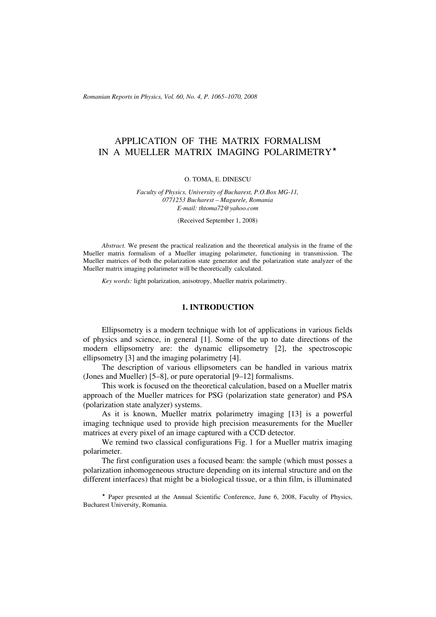*Romanian Reports in Physics, Vol. 60, No. 4, P. 1065–1070, 2008*

# APPLICATION OF THE MATRIX FORMALISM IN A MUELLER MATRIX IMAGING POLARIMETRY

#### O. TOMA, E. DINESCU

*Faculty of Physics, University of Bucharest, P.O.Box MG-11, 0771253 Bucharest – Magurele, Romania E-mail: thtoma72@yahoo.com*

(Received September 1, 2008)

*Abstract.* We present the practical realization and the theoretical analysis in the frame of the Mueller matrix formalism of a Mueller imaging polarimeter, functioning in transmission. The Mueller matrices of both the polarization state generator and the polarization state analyzer of the Mueller matrix imaging polarimeter will be theoretically calculated.

*Key words:* light polarization, anisotropy, Mueller matrix polarimetry.

## **1. INTRODUCTION**

Ellipsometry is a modern technique with lot of applications in various fields of physics and science, in general [1]. Some of the up to date directions of the modern ellipsometry are: the dynamic ellipsometry [2], the spectroscopic ellipsometry [3] and the imaging polarimetry [4].

The description of various ellipsometers can be handled in various matrix (Jones and Mueller) [5–8], or pure operatorial [9–12] formalisms.

This work is focused on the theoretical calculation, based on a Mueller matrix approach of the Mueller matrices for PSG (polarization state generator) and PSA (polarization state analyzer) systems.

As it is known, Mueller matrix polarimetry imaging [13] is a powerful imaging technique used to provide high precision measurements for the Mueller matrices at every pixel of an image captured with a CCD detector.

We remind two classical configurations Fig. 1 for a Mueller matrix imaging polarimeter.

The first configuration uses a focused beam: the sample (which must posses a polarization inhomogeneous structure depending on its internal structure and on the different interfaces) that might be a biological tissue, or a thin film, is illuminated

\* Paper presented at the Annual Scientific Conference, June 6, 2008, Faculty of Physics, Bucharest University, Romania.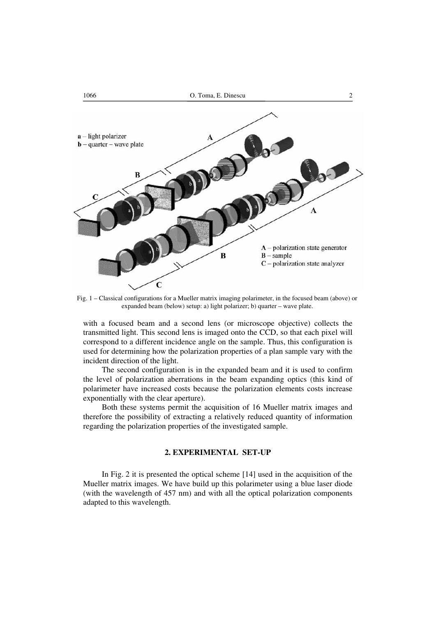

Fig. 1 – Classical configurations for a Mueller matrix imaging polarimeter, in the focused beam (above) or expanded beam (below) setup: a) light polarizer; b) quarter – wave plate.

with a focused beam and a second lens (or microscope objective) collects the transmitted light. This second lens is imaged onto the CCD, so that each pixel will correspond to a different incidence angle on the sample. Thus, this configuration is used for determining how the polarization properties of a plan sample vary with the incident direction of the light.

The second configuration is in the expanded beam and it is used to confirm the level of polarization aberrations in the beam expanding optics (this kind of polarimeter have increased costs because the polarization elements costs increase exponentially with the clear aperture).

Both these systems permit the acquisition of 16 Mueller matrix images and therefore the possibility of extracting a relatively reduced quantity of information regarding the polarization properties of the investigated sample.

### **2. EXPERIMENTAL SET-UP**

In Fig. 2 it is presented the optical scheme [14] used in the acquisition of the Mueller matrix images. We have build up this polarimeter using a blue laser diode (with the wavelength of 457 nm) and with all the optical polarization components adapted to this wavelength.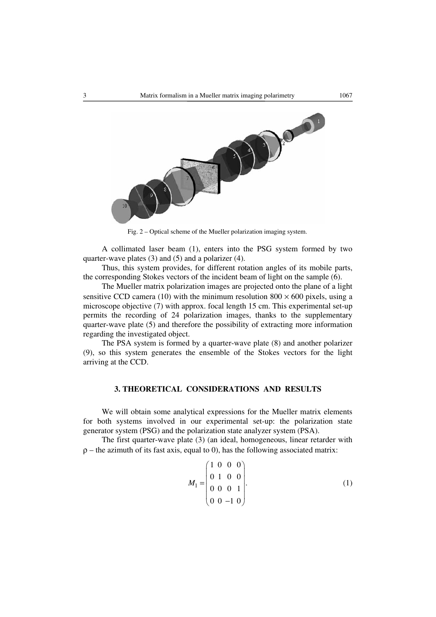

Fig. 2 – Optical scheme of the Mueller polarization imaging system.

A collimated laser beam (1), enters into the PSG system formed by two quarter-wave plates (3) and (5) and a polarizer (4).

Thus, this system provides, for different rotation angles of its mobile parts, the corresponding Stokes vectors of the incident beam of light on the sample (6).

The Mueller matrix polarization images are projected onto the plane of a light sensitive CCD camera (10) with the minimum resolution  $800 \times 600$  pixels, using a microscope objective (7) with approx. focal length 15 cm. This experimental set-up permits the recording of 24 polarization images, thanks to the supplementary quarter-wave plate (5) and therefore the possibility of extracting more information regarding the investigated object.

The PSA system is formed by a quarter-wave plate (8) and another polarizer (9), so this system generates the ensemble of the Stokes vectors for the light arriving at the CCD.

# **3. THEORETICAL CONSIDERATIONS AND RESULTS**

We will obtain some analytical expressions for the Mueller matrix elements for both systems involved in our experimental set-up: the polarization state generator system (PSG) and the polarization state analyzer system (PSA).

The first quarter-wave plate (3) (an ideal, homogeneous, linear retarder with  $\rho$  – the azimuth of its fast axis, equal to 0), has the following associated matrix:

$$
M_1 = \begin{pmatrix} 1 & 0 & 0 & 0 \\ 0 & 1 & 0 & 0 \\ 0 & 0 & 0 & 1 \\ 0 & 0 & -1 & 0 \end{pmatrix} . \tag{1}
$$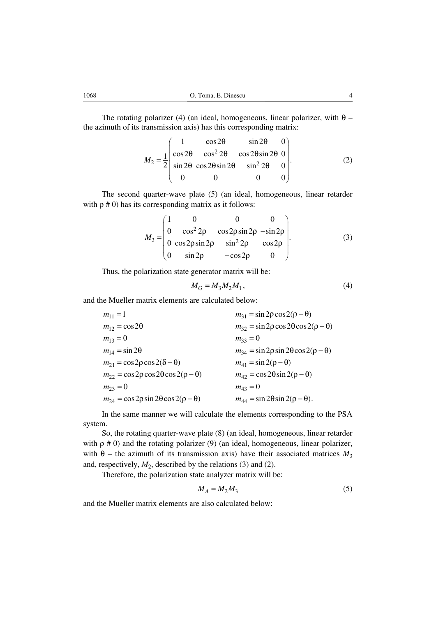The rotating polarizer (4) (an ideal, homogeneous, linear polarizer, with  $\theta$  – the azimuth of its transmission axis) has this corresponding matrix:

$$
M_2 = \frac{1}{2} \begin{pmatrix} 1 & \cos 2\theta & \sin 2\theta & 0 \\ \cos 2\theta & \cos^2 2\theta & \cos 2\theta \sin 2\theta & 0 \\ \sin 2\theta & \cos 2\theta \sin 2\theta & \sin^2 2\theta & 0 \\ 0 & 0 & 0 & 0 \end{pmatrix}.
$$
 (2)

The second quarter-wave plate (5) (an ideal, homogeneous, linear retarder with  $\rho \neq 0$ ) has its corresponding matrix as it follows:

$$
M_3 = \begin{pmatrix} 1 & 0 & 0 & 0 \\ 0 & \cos^2 2\rho & \cos 2\rho \sin 2\rho & -\sin 2\rho \\ 0 & \cos 2\rho \sin 2\rho & \sin^2 2\rho & \cos 2\rho \\ 0 & \sin 2\rho & -\cos 2\rho & 0 \end{pmatrix}.
$$
 (3)

Thus, the polarization state generator matrix will be:

$$
M_G = M_3 M_2 M_1, \tag{4}
$$

and the Mueller matrix elements are calculated below:

| $m_{11} = 1$                                             | $m_{31} = \sin 2\rho \cos 2(\rho - \theta)$                       |
|----------------------------------------------------------|-------------------------------------------------------------------|
| $m_{12} = \cos 2\theta$                                  | $m_{32}$ = sin 2 $\rho$ cos 2 $\theta$ cos 2( $\rho$ – $\theta$ ) |
| $m_{13} = 0$                                             | $m_{33} = 0$                                                      |
| $m_{14} = \sin 2\theta$                                  | $m_{34} = \sin 2\rho \sin 2\theta \cos 2(\rho - \theta)$          |
| $m_{21} = \cos 2\rho \cos 2(\delta - \theta)$            | $m_{41} = \sin 2(\rho - \theta)$                                  |
| $m_{22} = \cos 2\rho \cos 2\theta \cos 2(\rho - \theta)$ | $m_{42} = \cos 2\theta \sin 2(\rho - \theta)$                     |
| $m_{23} = 0$                                             | $m_{43} = 0$                                                      |
| $m_{24} = \cos 2\rho \sin 2\theta \cos 2(\rho - \theta)$ | $m_{44} = \sin 2\theta \sin 2(\rho - \theta)$ .                   |

In the same manner we will calculate the elements corresponding to the PSA system.

So, the rotating quarter-wave plate (8) (an ideal, homogeneous, linear retarder with  $\rho \neq 0$ ) and the rotating polarizer (9) (an ideal, homogeneous, linear polarizer, with  $\theta$  – the azimuth of its transmission axis) have their associated matrices  $M_3$ and, respectively,  $M_2$ , described by the relations (3) and (2).

Therefore, the polarization state analyzer matrix will be:

$$
M_A = M_2 M_3 \tag{5}
$$

and the Mueller matrix elements are also calculated below: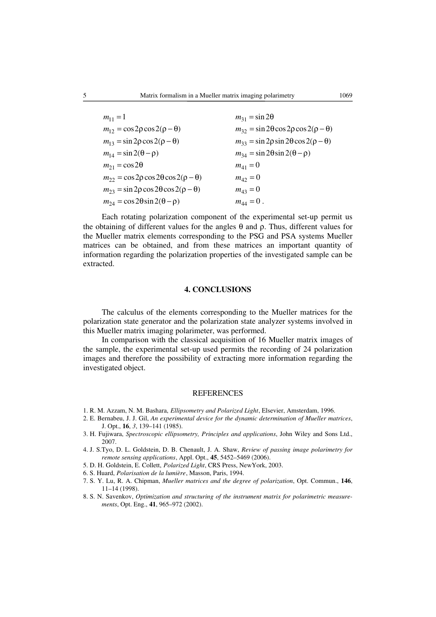| $m_{11} = 1$                                             | $m_{31} = \sin 2\theta$                                         |
|----------------------------------------------------------|-----------------------------------------------------------------|
| $m_{12} = \cos 2\rho \cos 2(\rho - \theta)$              | $m_{32}$ = sin 2 $\theta$ cos 2 $\rho$ cos 2( $\rho - \theta$ ) |
| $m_{13} = \sin 2\rho \cos 2(\rho - \theta)$              | $m_{33} = \sin 2\rho \sin 2\theta \cos 2(\rho - \theta)$        |
| $m_{14} = \sin 2(\theta - \rho)$                         | $m_{34} = \sin 2\theta \sin 2(\theta - \rho)$                   |
| $m_{21} = \cos 2\theta$                                  | $m_{41} = 0$                                                    |
| $m_{22} = \cos 2\rho \cos 2\theta \cos 2(\rho - \theta)$ | $m_{42} = 0$                                                    |
| $m_{23} = \sin 2\rho \cos 2\theta \cos 2(\rho - \theta)$ | $m_{43} = 0$                                                    |
| $m_{24} = \cos 2\theta \sin 2(\theta - \rho)$            | $m_{44} = 0$ .                                                  |

Each rotating polarization component of the experimental set-up permit us the obtaining of different values for the angles θ and  $ρ$ . Thus, different values for the Mueller matrix elements corresponding to the PSG and PSA systems Mueller matrices can be obtained, and from these matrices an important quantity of information regarding the polarization properties of the investigated sample can be extracted.

#### **4. CONCLUSIONS**

The calculus of the elements corresponding to the Mueller matrices for the polarization state generator and the polarization state analyzer systems involved in this Mueller matrix imaging polarimeter, was performed.

In comparison with the classical acquisition of 16 Mueller matrix images of the sample, the experimental set-up used permits the recording of 24 polarization images and therefore the possibility of extracting more information regarding the investigated object.

#### REFERENCES

- 1. R. M. Azzam, N. M. Bashara, *Ellipsometry and Polarized Light*, Elsevier, Amsterdam, 1996.
- 2. E. Bernabeu, J. J. Gil, *An experimental device for the dynamic determination of Mueller matrices*, J. Opt., **16**, *3*, 139–141 (1985).
- 3. H. Fujiwara, *Spectroscopic ellipsometry, Principles and applications*, John Wiley and Sons Ltd., 2007.
- 4. J. S.Tyo, D. L. Goldstein, D. B. Chenault, J. A. Shaw, *Review of passing image polarimetry for remote sensing applications*, Appl. Opt., **45**, 5452–5469 (2006).
- 5. D. H. Goldstein, E. Collett, *Polarized Light*, CRS Press, NewYork, 2003.
- 6. S. Huard, *Polarisation de la lumière*, Masson, Paris, 1994.
- 7. S. Y. Lu, R. A. Chipman, *Mueller matrices and the degree of polarization*, Opt. Commun., **146**, 11–14 (1998).
- 8. S. N. Savenkov, *Optimization and structuring of the instrument matrix for polarimetric measurements*, Opt. Eng., **41**, 965–972 (2002).